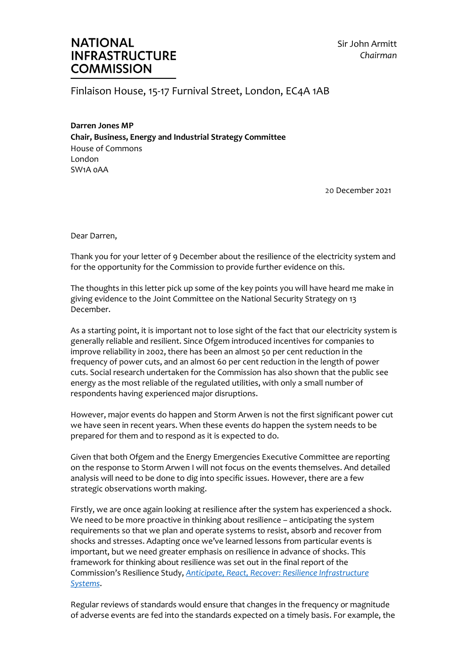## **NATIONAL INFRASTRUCTURE COMMISSION**

Sir John Armitt *Chairman*

Finlaison House, 15-17 Furnival Street, London, EC4A 1AB

**Darren Jones MP Chair, Business, Energy and Industrial Strategy Committee**  House of Commons London SW1A 0AA

20 December 2021

Dear Darren,

Thank you for your letter of 9 December about the resilience of the electricity system and for the opportunity for the Commission to provide further evidence on this.

The thoughts in this letter pick up some of the key points you will have heard me make in giving evidence to the Joint Committee on the National Security Strategy on 13 December.

As a starting point, it is important not to lose sight of the fact that our electricity system is generally reliable and resilient. Since Ofgem introduced incentives for companies to improve reliability in 2002, there has been an almost 50 per cent reduction in the frequency of power cuts, and an almost 60 per cent reduction in the length of power cuts. Social research undertaken for the Commission has also shown that the public see energy as the most reliable of the regulated utilities, with only a small number of respondents having experienced major disruptions.

However, major events do happen and Storm Arwen is not the first significant power cut we have seen in recent years. When these events do happen the system needs to be prepared for them and to respond as it is expected to do.

Given that both Ofgem and the Energy Emergencies Executive Committee are reporting on the response to Storm Arwen I will not focus on the events themselves. And detailed analysis will need to be done to dig into specific issues. However, there are a few strategic observations worth making.

Firstly, we are once again looking at resilience after the system has experienced a shock. We need to be more proactive in thinking about resilience – anticipating the system requirements so that we plan and operate systems to resist, absorb and recover from shocks and stresses. Adapting once we've learned lessons from particular events is important, but we need greater emphasis on resilience in advance of shocks. This framework for thinking about resilience was set out in the final report of the Commission's Resilience Study, *[Anticipate, React, Recover: Resilience Infrastructure](https://nic.org.uk/studies-reports/resilience/)  [Systems](https://nic.org.uk/studies-reports/resilience/)*.

Regular reviews of standards would ensure that changes in the frequency or magnitude of adverse events are fed into the standards expected on a timely basis. For example, the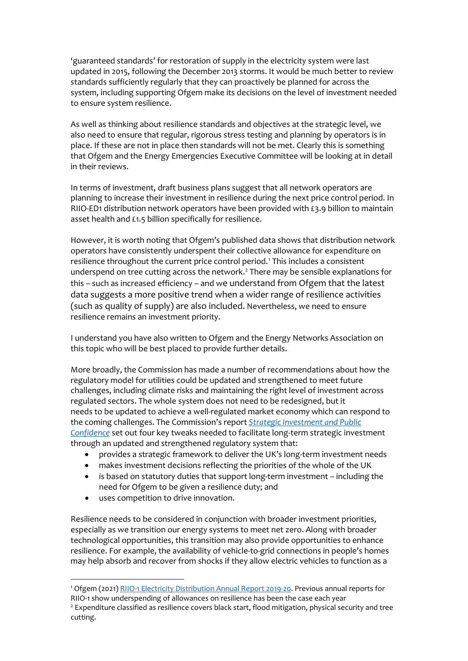'guaranteed standards' for restoration of supply in the electricity system were last updated in 2015, following the December 2013 storms. It would be much better to review standards sufficiently regularly that they can proactively be planned for across the system, including supporting Ofgem make its decisions on the level of investment needed to ensure system resilience.

As well as thinking about resilience standards and objectives at the strategic level, we also need to ensure that regular, rigorous stress testing and planning by operators is in place. If these are not in place then standards will not be met. Clearly this is something that Ofgem and the Energy Emergencies Executive Committee will be looking at in detail in their reviews.

In terms of investment, draft business plans suggest that all network operators are planning to increase their investment in resilience during the next price control period. In RIIO-ED1 distribution network operators have been provided with £3.9 billion to maintain asset health and £1.5 billion specifically for resilience.

However, it is worth noting that Ofgem's published data shows that distribution network operators have consistently underspent their collective allowance for expenditure on resilience throughout the current price control period.<sup>[1](#page-1-0)</sup> This includes a consistent underspend on tree cutting across the network. [2](#page-1-1) There may be sensible explanations for this – such as increased efficiency – and we understand from Ofgem that the latest data suggests a more positive trend when a wider range of resilience activities (such as quality of supply) are also included. Nevertheless, we need to ensure resilience remains an investment priority.

I understand you have also written to Ofgem and the Energy Networks Association on this topic who will be best placed to provide further details.

More broadly, the Commission has made a number of recommendations about how the regulatory model for utilities could be updated and strengthened to meet future challenges, including climate risks and maintaining the right level of investment across regulated sectors. The whole system does not need to be redesigned, but it needs to be updated to achieve a well-regulated market economy which can respond to the coming challenges. The Commission's report *[Strategic Investment and Public](https://nic.org.uk/app/uploads/NIC-Strategic-Investment-Public-Confidence-October-2019.pdf)  [Confidence](https://nic.org.uk/app/uploads/NIC-Strategic-Investment-Public-Confidence-October-2019.pdf)* set out four key tweaks needed to facilitate long-term strategic investment through an updated and strengthened regulatory system that:

- provides a strategic framework to deliver the UK's long-term investment needs
- makes investment decisions reflecting the priorities of the whole of the UK
- is based on statutory duties that support long-term investment including the need for Ofgem to be given a resilience duty; and
- uses competition to drive innovation.

Resilience needs to be considered in conjunction with broader investment priorities, especially as we transition our energy systems to meet net zero. Along with broader technological opportunities, this transition may also provide opportunities to enhance resilience. For example, the availability of vehicle-to-grid connections in people's homes may help absorb and recover from shocks if they allow electric vehicles to function as a

<span id="page-1-0"></span><sup>1</sup> Ofgem (2021) [RIIO-1 Electricity Distribution Annual Report 2019-20.](https://www.ofgem.gov.uk/publications/riio-1-electricity-distribution-annual-report-2019-20) Previous annual reports for

<span id="page-1-1"></span>RIIO-1 show underspending of allowances on resilience has been the case each year<br><sup>2</sup> Expenditure classified as resilience covers black start, flood mitigation, physical security and tree cutting.